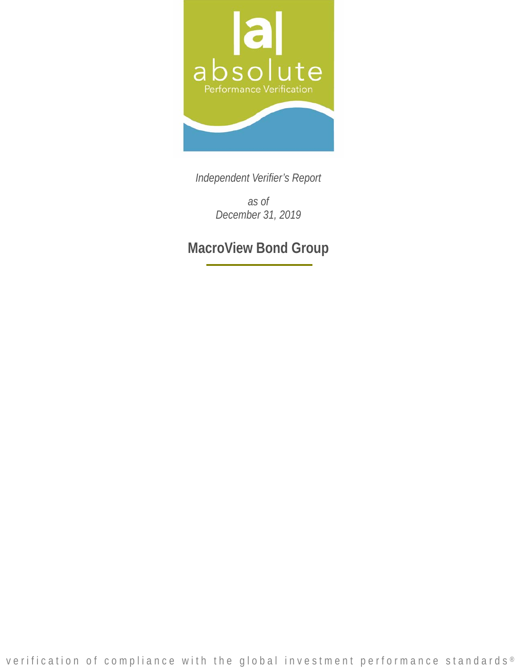

*Independent Verifier's Report* 

*as of December 31, 2019* 

**MacroView Bond Group**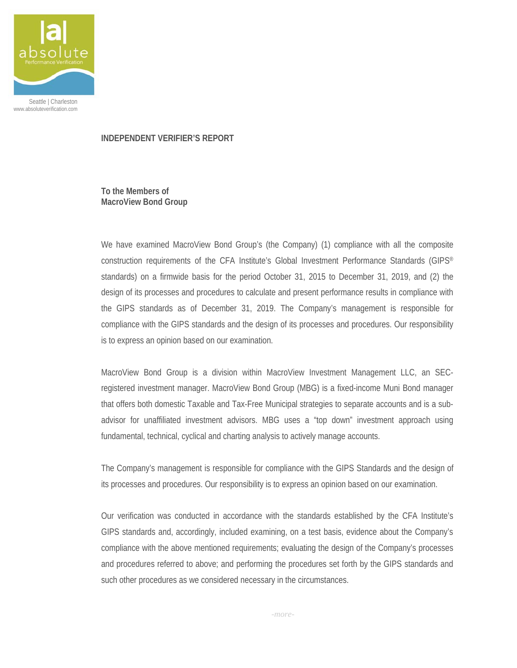

Seattle | Charleston www.absoluteverification.com

## **INDEPENDENT VERIFIER'S REPORT**

**To the Members of MacroView Bond Group** 

We have examined MacroView Bond Group's (the Company) (1) compliance with all the composite construction requirements of the CFA Institute's Global Investment Performance Standards (GIPS® standards) on a firmwide basis for the period October 31, 2015 to December 31, 2019, and (2) the design of its processes and procedures to calculate and present performance results in compliance with the GIPS standards as of December 31, 2019. The Company's management is responsible for compliance with the GIPS standards and the design of its processes and procedures. Our responsibility is to express an opinion based on our examination.

MacroView Bond Group is a division within MacroView Investment Management LLC, an SECregistered investment manager. MacroView Bond Group (MBG) is a fixed-income Muni Bond manager that offers both domestic Taxable and Tax-Free Municipal strategies to separate accounts and is a subadvisor for unaffiliated investment advisors. MBG uses a "top down" investment approach using fundamental, technical, cyclical and charting analysis to actively manage accounts.

The Company's management is responsible for compliance with the GIPS Standards and the design of its processes and procedures. Our responsibility is to express an opinion based on our examination.

Our verification was conducted in accordance with the standards established by the CFA Institute's GIPS standards and, accordingly, included examining, on a test basis, evidence about the Company's compliance with the above mentioned requirements; evaluating the design of the Company's processes and procedures referred to above; and performing the procedures set forth by the GIPS standards and such other procedures as we considered necessary in the circumstances.